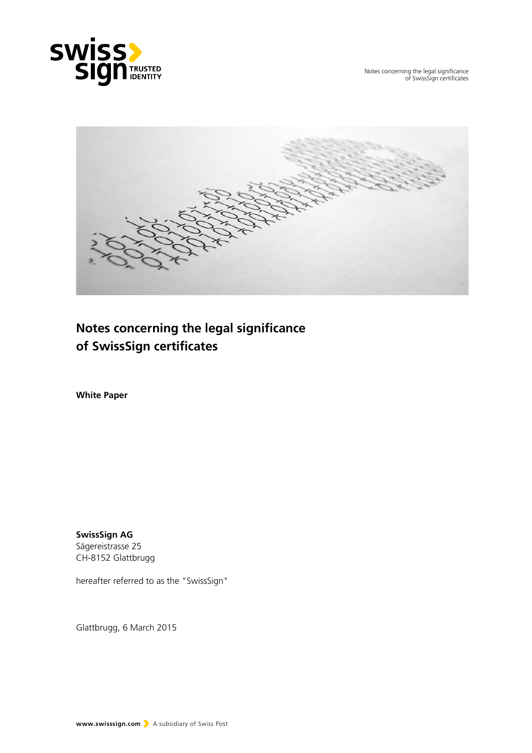

Notes concerning the legal significance of SwissSign certificates



**Notes concerning the legal significance of SwissSign certificates**

**White Paper**

**SwissSign AG** Sägereistrasse 25 CH-8152 Glattbrugg

hereafter referred to as the "SwissSign"

Glattbrugg, 6 March 2015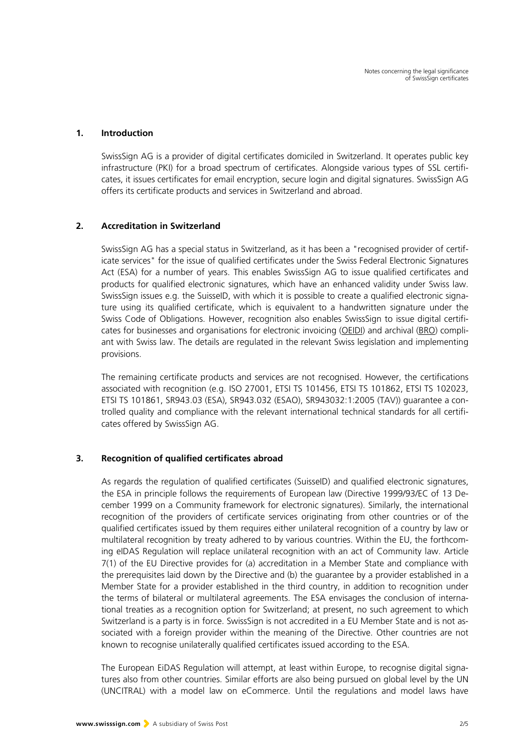#### **1. Introduction**

SwissSign AG is a provider of digital certificates domiciled in Switzerland. It operates public key infrastructure (PKI) for a broad spectrum of certificates. Alongside various types of SSL certificates, it issues certificates for email encryption, secure login and digital signatures. SwissSign AG offers its certificate products and services in Switzerland and abroad.

## **2. Accreditation in Switzerland**

SwissSign AG has a special status in Switzerland, as it has been a "recognised provider of certificate services" for the issue of qualified certificates under the Swiss Federal Electronic Signatures Act (ESA) for a number of years. This enables SwissSign AG to issue qualified certificates and products for qualified electronic signatures, which have an enhanced validity under Swiss law. SwissSign issues e.g. the SuisseID, with which it is possible to create a qualified electronic signature using its qualified certificate, which is equivalent to a handwritten signature under the Swiss Code of Obligations. However, recognition also enables SwissSign to issue digital certifi-cates for businesses and organisations for electronic invoicing [\(OEIDI\)](http://www.admin.ch/ch/d/sr/c641_201_511.html) and archival [\(BRO\)](http://www.admin.ch/ch/d/sr/c221_431.html) compliant with Swiss law. The details are regulated in the relevant Swiss legislation and implementing provisions.

The remaining certificate products and services are not recognised. However, the certifications associated with recognition (e.g. ISO 27001, ETSI TS 101456, ETSI TS 101862, ETSI TS 102023, ETSI TS 101861, SR943.03 (ESA), SR943.032 (ESAO), SR943032:1:2005 (TAV)) guarantee a controlled quality and compliance with the relevant international technical standards for all certificates offered by SwissSign AG.

## **3. Recognition of qualified certificates abroad**

As regards the regulation of qualified certificates (SuisseID) and qualified electronic signatures, the ESA in principle follows the requirements of European law (Directive 1999/93/EC of 13 December 1999 on a Community framework for electronic signatures). Similarly, the international recognition of the providers of certificate services originating from other countries or of the qualified certificates issued by them requires either unilateral recognition of a country by law or multilateral recognition by treaty adhered to by various countries. Within the EU, the forthcoming eIDAS Regulation will replace unilateral recognition with an act of Community law. Article 7(1) of the EU Directive provides for (a) accreditation in a Member State and compliance with the prerequisites laid down by the Directive and (b) the guarantee by a provider established in a Member State for a provider established in the third country, in addition to recognition under the terms of bilateral or multilateral agreements. The ESA envisages the conclusion of international treaties as a recognition option for Switzerland; at present, no such agreement to which Switzerland is a party is in force. SwissSign is not accredited in a EU Member State and is not associated with a foreign provider within the meaning of the Directive. Other countries are not known to recognise unilaterally qualified certificates issued according to the ESA.

The European EiDAS Regulation will attempt, at least within Europe, to recognise digital signatures also from other countries. Similar efforts are also being pursued on global level by the UN (UNCITRAL) with a model law on eCommerce. Until the regulations and model laws have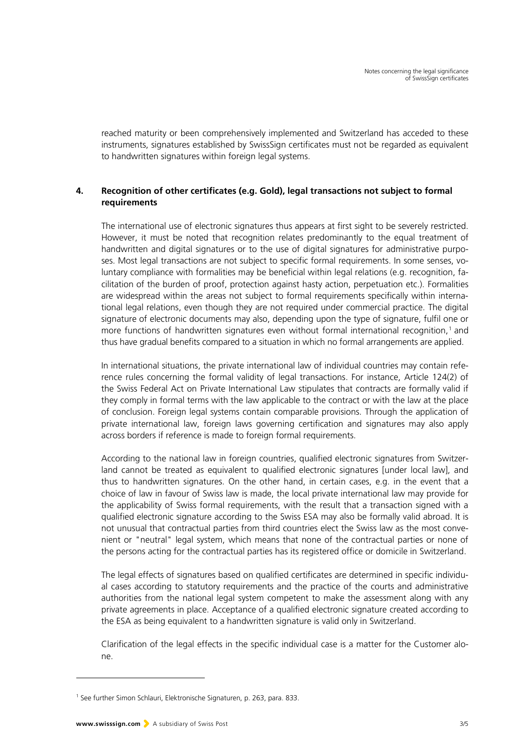reached maturity or been comprehensively implemented and Switzerland has acceded to these instruments, signatures established by SwissSign certificates must not be regarded as equivalent to handwritten signatures within foreign legal systems.

# **4. Recognition of other certificates (e.g. Gold), legal transactions not subject to formal requirements**

The international use of electronic signatures thus appears at first sight to be severely restricted. However, it must be noted that recognition relates predominantly to the equal treatment of handwritten and digital signatures or to the use of digital signatures for administrative purposes. Most legal transactions are not subject to specific formal requirements. In some senses, voluntary compliance with formalities may be beneficial within legal relations (e.g. recognition, facilitation of the burden of proof, protection against hasty action, perpetuation etc.). Formalities are widespread within the areas not subject to formal requirements specifically within international legal relations, even though they are not required under commercial practice. The digital signature of electronic documents may also, depending upon the type of signature, fulfil one or more functions of handwritten signatures even without formal international recognition,<sup>[1](#page-2-0)</sup> and thus have gradual benefits compared to a situation in which no formal arrangements are applied.

In international situations, the private international law of individual countries may contain reference rules concerning the formal validity of legal transactions. For instance, Article 124(2) of the Swiss Federal Act on Private International Law stipulates that contracts are formally valid if they comply in formal terms with the law applicable to the contract or with the law at the place of conclusion. Foreign legal systems contain comparable provisions. Through the application of private international law, foreign laws governing certification and signatures may also apply across borders if reference is made to foreign formal requirements.

According to the national law in foreign countries, qualified electronic signatures from Switzerland cannot be treated as equivalent to qualified electronic signatures [under local law], and thus to handwritten signatures. On the other hand, in certain cases, e.g. in the event that a choice of law in favour of Swiss law is made, the local private international law may provide for the applicability of Swiss formal requirements, with the result that a transaction signed with a qualified electronic signature according to the Swiss ESA may also be formally valid abroad. It is not unusual that contractual parties from third countries elect the Swiss law as the most convenient or "neutral" legal system, which means that none of the contractual parties or none of the persons acting for the contractual parties has its registered office or domicile in Switzerland.

The legal effects of signatures based on qualified certificates are determined in specific individual cases according to statutory requirements and the practice of the courts and administrative authorities from the national legal system competent to make the assessment along with any private agreements in place. Acceptance of a qualified electronic signature created according to the ESA as being equivalent to a handwritten signature is valid only in Switzerland.

Clarification of the legal effects in the specific individual case is a matter for the Customer alone.

-

<span id="page-2-0"></span><sup>&</sup>lt;sup>1</sup> See further Simon Schlauri, Elektronische Signaturen, p. 263, para. 833.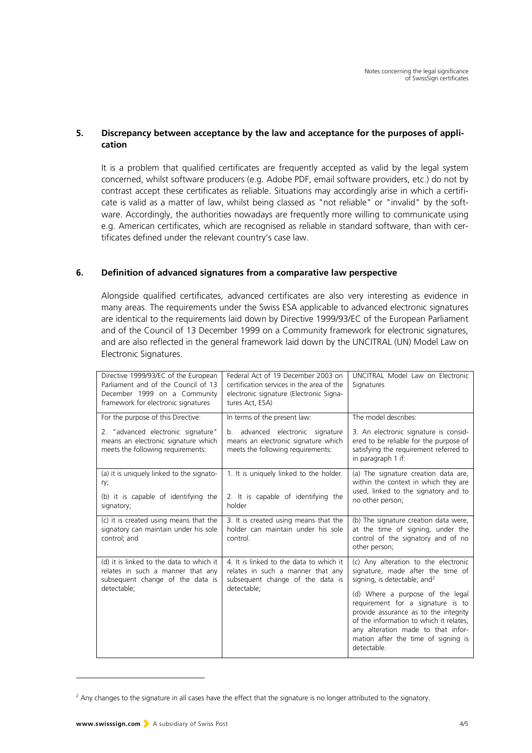## **5. Discrepancy between acceptance by the law and acceptance for the purposes of application**

It is a problem that qualified certificates are frequently accepted as valid by the legal system concerned, whilst software producers (e.g. Adobe PDF, email software providers, etc.) do not by contrast accept these certificates as reliable. Situations may accordingly arise in which a certificate is valid as a matter of law, whilst being classed as "not reliable" or "invalid" by the software. Accordingly, the authorities nowadays are frequently more willing to communicate using e.g. American certificates, which are recognised as reliable in standard software, than with certificates defined under the relevant country's case law.

# **6. Definition of advanced signatures from a comparative law perspective**

Alongside qualified certificates, advanced certificates are also very interesting as evidence in many areas. The requirements under the Swiss ESA applicable to advanced electronic signatures are identical to the requirements laid down by Directive 1999/93/EC of the European Parliament and of the Council of 13 December 1999 on a Community framework for electronic signatures, and are also reflected in the general framework laid down by the UNCITRAL (UN) Model Law on Electronic Signatures.

| Directive 1999/93/EC of the European<br>Parliament and of the Council of 13<br>December 1999 on a Community<br>framework for electronic signatures | Federal Act of 19 December 2003 on<br>certification services in the area of the<br>electronic signature (Electronic Signa-<br>tures Act, ESA) | UNCITRAL Model Law on Electronic<br>Signatures                                                                                                                                                                                                                                                                                                                                 |
|----------------------------------------------------------------------------------------------------------------------------------------------------|-----------------------------------------------------------------------------------------------------------------------------------------------|--------------------------------------------------------------------------------------------------------------------------------------------------------------------------------------------------------------------------------------------------------------------------------------------------------------------------------------------------------------------------------|
| For the purpose of this Directive:                                                                                                                 | In terms of the present law:                                                                                                                  | The model describes:                                                                                                                                                                                                                                                                                                                                                           |
| 2. "advanced electronic signature"<br>means an electronic signature which<br>meets the following requirements:                                     | advanced electronic signature<br>b.<br>means an electronic signature which<br>meets the following requirements:                               | 3. An electronic signature is consid-<br>ered to be reliable for the purpose of<br>satisfying the requirement referred to<br>in paragraph 1 if:                                                                                                                                                                                                                                |
| (a) it is uniquely linked to the signato-<br>ry;<br>(b) it is capable of identifying the<br>signatory;                                             | 1. It is uniquely linked to the holder.<br>2. It is capable of identifying the<br>holder                                                      | (a) The signature creation data are,<br>within the context in which they are<br>used, linked to the signatory and to<br>no other person;                                                                                                                                                                                                                                       |
| (c) it is created using means that the<br>signatory can maintain under his sole<br>control; and                                                    | 3. It is created using means that the<br>holder can maintain under his sole<br>control.                                                       | (b) The signature creation data were,<br>at the time of signing, under the<br>control of the signatory and of no<br>other person;                                                                                                                                                                                                                                              |
| (d) it is linked to the data to which it<br>relates in such a manner that any<br>subsequent change of the data is<br>detectable;                   | 4. It is linked to the data to which it<br>relates in such a manner that any<br>subsequent change of the data is<br>detectable;               | (c) Any alteration to the electronic<br>signature, made after the time of<br>signing, is detectable; and <sup>2</sup><br>(d) Where a purpose of the legal<br>requirement for a signature is to<br>provide assurance as to the integrity<br>of the information to which it relates,<br>any alteration made to that infor-<br>mation after the time of signing is<br>detectable. |

<span id="page-3-0"></span><sup>&</sup>lt;sup>2</sup> Any changes to the signature in all cases have the effect that the signature is no longer attributed to the signatory.

-